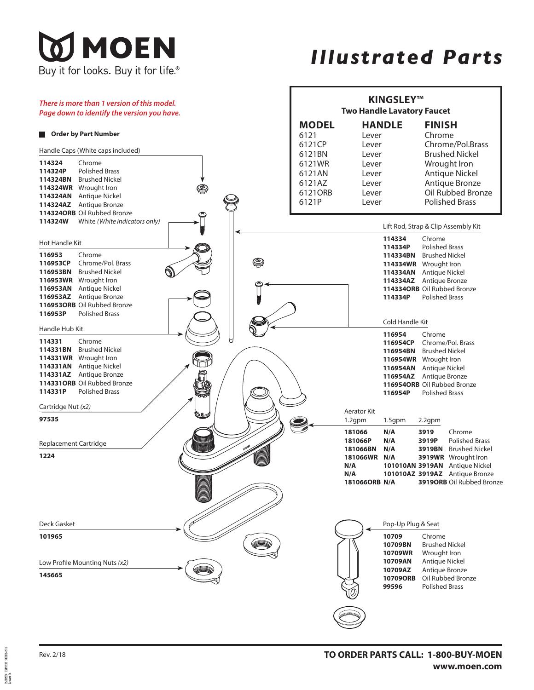## **MOEN** Buy it for looks. Buy it for life  $^{\circ}$